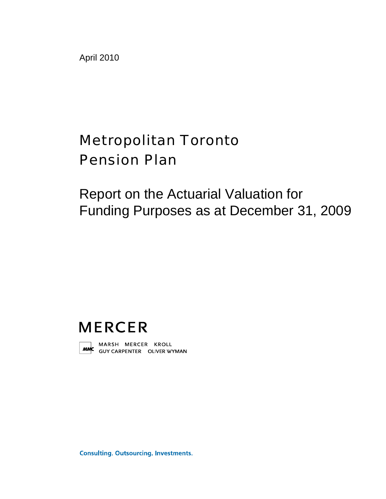April 2010

# Metropolitan Toronto Pension Plan

Report on the Actuarial Valuation for Funding Purposes as at December 31, 2009

# **MERCER**



MARSH MERCER KROLL<br>**MMC** GUYCARPENTER OLIVERWYMAN

**Consulting. Outsourcing. Investments.**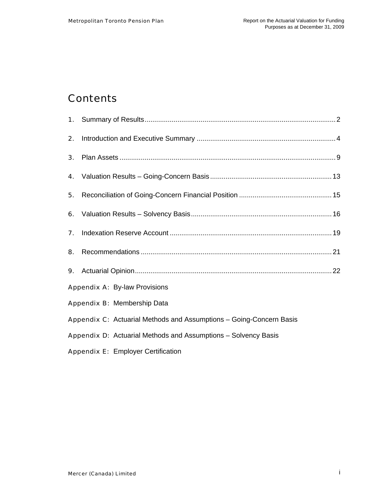## **Contents**

| 2. |                                                                     |  |
|----|---------------------------------------------------------------------|--|
| 3. |                                                                     |  |
| 4. |                                                                     |  |
| 5. |                                                                     |  |
|    |                                                                     |  |
| 7. |                                                                     |  |
| 8. |                                                                     |  |
|    |                                                                     |  |
|    | <b>Appendix A: By-law Provisions</b>                                |  |
|    | Appendix B: Membership Data                                         |  |
|    | Appendix C: Actuarial Methods and Assumptions - Going-Concern Basis |  |
|    | Appendix D: Actuarial Methods and Assumptions - Solvency Basis      |  |
|    | <b>Appendix E: Employer Certification</b>                           |  |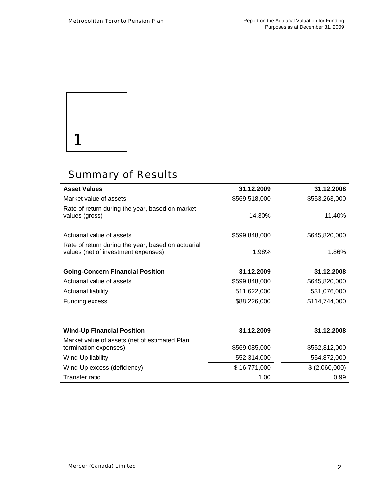

 $\overline{a}$ 

 $\ddot{\phantom{0}}$ 

## Summary of Results

| <b>Asset Values</b>                                                                       | 31.12.2009    | 31.12.2008    |
|-------------------------------------------------------------------------------------------|---------------|---------------|
| Market value of assets                                                                    | \$569,518,000 | \$553,263,000 |
| Rate of return during the year, based on market<br>values (gross)                         | 14.30%        | $-11.40%$     |
| Actuarial value of assets                                                                 | \$599,848,000 | \$645,820,000 |
| Rate of return during the year, based on actuarial<br>values (net of investment expenses) | 1.98%         | 1.86%         |
| <b>Going-Concern Financial Position</b>                                                   | 31.12.2009    | 31.12.2008    |
| Actuarial value of assets                                                                 | \$599,848,000 | \$645,820,000 |
| <b>Actuarial liability</b>                                                                | 511,622,000   | 531,076,000   |
| <b>Funding excess</b>                                                                     | \$88,226,000  | \$114,744,000 |
| <b>Wind-Up Financial Position</b>                                                         | 31.12.2009    | 31.12.2008    |
| Market value of assets (net of estimated Plan                                             |               |               |
| termination expenses)                                                                     | \$569,085,000 | \$552,812,000 |
| Wind-Up liability                                                                         | 552,314,000   | 554,872,000   |
| Wind-Up excess (deficiency)                                                               | \$16,771,000  | \$(2,060,000) |
| <b>Transfer ratio</b>                                                                     | 1.00          | 0.99          |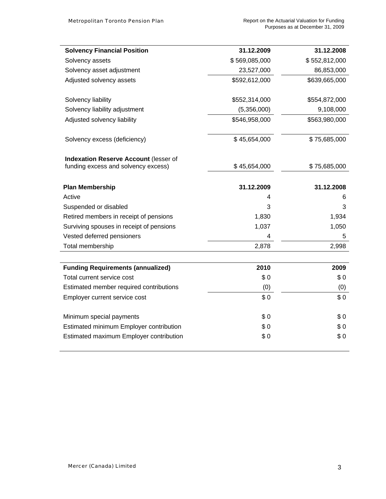| <b>Solvency Financial Position</b>       | 31.12.2009    | 31.12.2008    |
|------------------------------------------|---------------|---------------|
| Solvency assets                          | \$569,085,000 | \$552,812,000 |
|                                          | 23,527,000    | 86,853,000    |
| Solvency asset adjustment                |               |               |
| Adjusted solvency assets                 | \$592,612,000 | \$639,665,000 |
| Solvency liability                       | \$552,314,000 | \$554,872,000 |
| Solvency liability adjustment            | (5,356,000)   | 9,108,000     |
| Adjusted solvency liability              | \$546,958,000 | \$563,980,000 |
| Solvency excess (deficiency)             | \$45,654,000  | \$75,685,000  |
| Indexation Reserve Account (lesser of    |               |               |
| funding excess and solvency excess)      | \$45,654,000  | \$75,685,000  |
| <b>Plan Membership</b>                   | 31.12.2009    | 31.12.2008    |
| Active                                   | 4             | 6             |
| Suspended or disabled                    | 3             | 3             |
| Retired members in receipt of pensions   | 1,830         | 1,934         |
| Surviving spouses in receipt of pensions | 1,037         | 1,050         |
| Vested deferred pensioners               | 4             | 5             |
| Total membership                         | 2,878         | 2,998         |
| <b>Funding Requirements (annualized)</b> | 2010          | 2009          |
| Total current service cost               | \$0           | \$0           |
| Estimated member required contributions  | (0)           | (0)           |
| Employer current service cost            | \$0           | \$0           |
|                                          |               |               |
| Minimum special payments                 | \$0           | \$0           |
| Estimated minimum Employer contribution  | \$0           | \$0           |
| Estimated maximum Employer contribution  | \$0           | \$0           |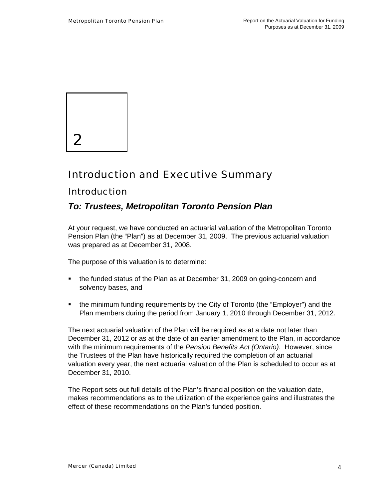

## Introduction and Executive Summary

## Introduction

### *To: Trustees, Metropolitan Toronto Pension Plan*

At your request, we have conducted an actuarial valuation of the Metropolitan Toronto Pension Plan (the "Plan") as at December 31, 2009. The previous actuarial valuation was prepared as at December 31, 2008.

The purpose of this valuation is to determine:

- the funded status of the Plan as at December 31, 2009 on going-concern and solvency bases, and
- the minimum funding requirements by the City of Toronto (the "Employer") and the Plan members during the period from January 1, 2010 through December 31, 2012.

The next actuarial valuation of the Plan will be required as at a date not later than December 31, 2012 or as at the date of an earlier amendment to the Plan, in accordance with the minimum requirements of the *Pension Benefits Act (Ontario)*. However, since the Trustees of the Plan have historically required the completion of an actuarial valuation every year, the next actuarial valuation of the Plan is scheduled to occur as at December 31, 2010.

The Report sets out full details of the Plan's financial position on the valuation date, makes recommendations as to the utilization of the experience gains and illustrates the effect of these recommendations on the Plan's funded position.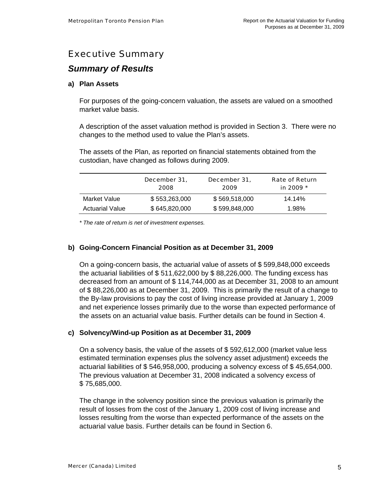## Executive Summary

### *Summary of Results*

#### **a) Plan Assets**

For purposes of the going-concern valuation, the assets are valued on a smoothed market value basis.

A description of the asset valuation method is provided in Section 3. There were no changes to the method used to value the Plan's assets.

The assets of the Plan, as reported on financial statements obtained from the custodian, have changed as follows during 2009.

|                        | December 31,<br>2008 | December 31,<br>2009 | <b>Rate of Return</b><br>in 2009 * |
|------------------------|----------------------|----------------------|------------------------------------|
| Market Value           | \$553.263.000        | \$569,518,000        | 14.14%                             |
| <b>Actuarial Value</b> | \$645,820,000        | \$599,848,000        | 1.98%                              |

*\* The rate of return is net of investment expenses.* 

#### **b) Going-Concern Financial Position as at December 31, 2009**

On a going-concern basis, the actuarial value of assets of \$ 599,848,000 exceeds the actuarial liabilities of \$ 511,622,000 by \$ 88,226,000. The funding excess has decreased from an amount of \$ 114,744,000 as at December 31, 2008 to an amount of \$ 88,226,000 as at December 31, 2009. This is primarily the result of a change to the By-law provisions to pay the cost of living increase provided at January 1, 2009 and net experience losses primarily due to the worse than expected performance of the assets on an actuarial value basis. Further details can be found in Section 4.

#### **c) Solvency/Wind-up Position as at December 31, 2009**

On a solvency basis, the value of the assets of \$ 592,612,000 (market value less estimated termination expenses plus the solvency asset adjustment) exceeds the actuarial liabilities of \$ 546,958,000, producing a solvency excess of \$ 45,654,000. The previous valuation at December 31, 2008 indicated a solvency excess of \$ 75,685,000.

The change in the solvency position since the previous valuation is primarily the result of losses from the cost of the January 1, 2009 cost of living increase and losses resulting from the worse than expected performance of the assets on the actuarial value basis. Further details can be found in Section 6.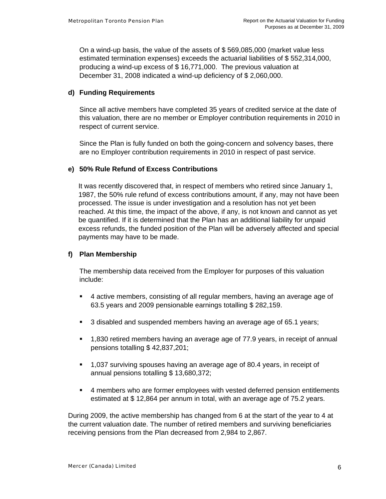On a wind-up basis, the value of the assets of \$ 569,085,000 (market value less estimated termination expenses) exceeds the actuarial liabilities of \$ 552,314,000, producing a wind-up excess of \$ 16,771,000. The previous valuation at December 31, 2008 indicated a wind-up deficiency of \$ 2,060,000.

#### **d) Funding Requirements**

Since all active members have completed 35 years of credited service at the date of this valuation, there are no member or Employer contribution requirements in 2010 in respect of current service.

Since the Plan is fully funded on both the going-concern and solvency bases, there are no Employer contribution requirements in 2010 in respect of past service.

#### **e) 50% Rule Refund of Excess Contributions**

It was recently discovered that, in respect of members who retired since January 1, 1987, the 50% rule refund of excess contributions amount, if any, may not have been processed. The issue is under investigation and a resolution has not yet been reached. At this time, the impact of the above, if any, is not known and cannot as yet be quantified. If it is determined that the Plan has an additional liability for unpaid excess refunds, the funded position of the Plan will be adversely affected and special payments may have to be made.

#### **f) Plan Membership**

The membership data received from the Employer for purposes of this valuation include:

- 4 active members, consisting of all regular members, having an average age of 63.5 years and 2009 pensionable earnings totalling \$ 282,159.
- **3** disabled and suspended members having an average age of 65.1 years;
- 1,830 retired members having an average age of 77.9 years, in receipt of annual pensions totalling \$ 42,837,201;
- 1,037 surviving spouses having an average age of 80.4 years, in receipt of annual pensions totalling \$ 13,680,372;
- 4 members who are former employees with vested deferred pension entitlements estimated at \$ 12,864 per annum in total, with an average age of 75.2 years.

During 2009, the active membership has changed from 6 at the start of the year to 4 at the current valuation date. The number of retired members and surviving beneficiaries receiving pensions from the Plan decreased from 2,984 to 2,867.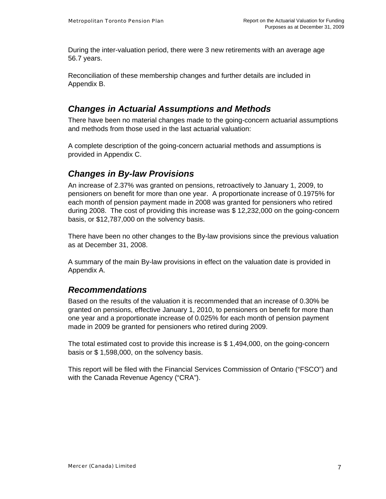During the inter-valuation period, there were 3 new retirements with an average age 56.7 years.

Reconciliation of these membership changes and further details are included in Appendix B.

## *Changes in Actuarial Assumptions and Methods*

There have been no material changes made to the going-concern actuarial assumptions and methods from those used in the last actuarial valuation:

A complete description of the going-concern actuarial methods and assumptions is provided in Appendix C.

### *Changes in By-law Provisions*

An increase of 2.37% was granted on pensions, retroactively to January 1, 2009, to pensioners on benefit for more than one year. A proportionate increase of 0.1975% for each month of pension payment made in 2008 was granted for pensioners who retired during 2008. The cost of providing this increase was \$ 12,232,000 on the going-concern basis, or \$12,787,000 on the solvency basis.

There have been no other changes to the By-law provisions since the previous valuation as at December 31, 2008.

A summary of the main By-law provisions in effect on the valuation date is provided in Appendix A.

### *Recommendations*

Based on the results of the valuation it is recommended that an increase of 0.30% be granted on pensions, effective January 1, 2010, to pensioners on benefit for more than one year and a proportionate increase of 0.025% for each month of pension payment made in 2009 be granted for pensioners who retired during 2009.

The total estimated cost to provide this increase is \$ 1,494,000, on the going-concern basis or \$ 1,598,000, on the solvency basis.

This report will be filed with the Financial Services Commission of Ontario ("FSCO") and with the Canada Revenue Agency ("CRA").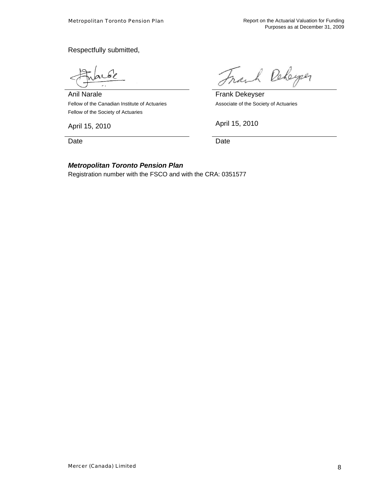Respectfully submitted,

Anil Narale Fellow of the Canadian Institute of Actuaries Fellow of the Society of Actuaries

April 15, 2010 **April 15, 2010** 

Date **Date Date Date Date** 

Frank Rebeyer

 Frank Dekeyser Associate of the Society of Actuaries

#### *Metropolitan Toronto Pension Plan*

Registration number with the FSCO and with the CRA: 0351577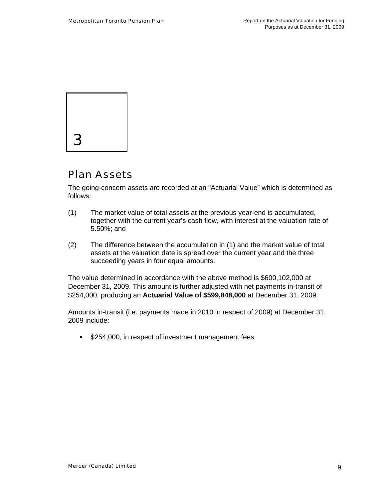

## Plan Assets

The going-concern assets are recorded at an "Actuarial Value" which is determined as follows:

- (1) The market value of total assets at the previous year-end is accumulated, together with the current year's cash flow, with interest at the valuation rate of 5.50%; and
- (2) The difference between the accumulation in (1) and the market value of total assets at the valuation date is spread over the current year and the three succeeding years in four equal amounts.

The value determined in accordance with the above method is \$600,102,000 at December 31, 2009. This amount is further adjusted with net payments in-transit of \$254,000, producing an **Actuarial Value of \$599,848,000** at December 31, 2009.

Amounts in-transit (i.e. payments made in 2010 in respect of 2009) at December 31, 2009 include:

**\$254,000, in respect of investment management fees.**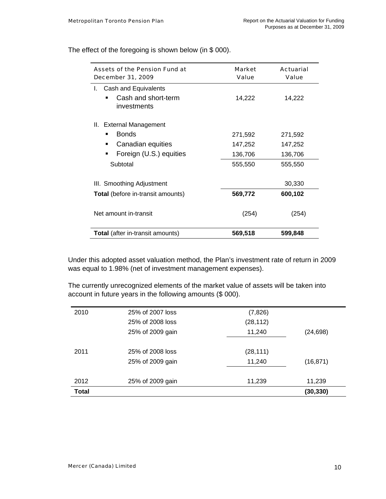Assets of the Pension Fund at December 31, 2009 Market Value Actuarial Value I. Cash and Equivalents • Cash and short-term investments 14,222 14,222 II. External Management **Bonds** 271,592 271,592 ■ Canadian equities 147,252 147,252 **Foreign (U.S.) equities 136,706 136,706** Subtotal 555,550 555,550 III. Smoothing Adjustment 30,330 **Total** (before in-transit amounts) **569,772 600,102**  Net amount in-transit (254) (254) **Total** (after in-transit amounts) **569,518 599,848** 

The effect of the foregoing is shown below (in \$ 000).

Under this adopted asset valuation method, the Plan's investment rate of return in 2009 was equal to 1.98% (net of investment management expenses).

The currently unrecognized elements of the market value of assets will be taken into account in future years in the following amounts (\$ 000).

| 2010         | 25% of 2007 loss | (7, 826)  |           |
|--------------|------------------|-----------|-----------|
|              | 25% of 2008 loss | (28, 112) |           |
|              | 25% of 2009 gain | 11,240    | (24, 698) |
|              |                  |           |           |
| 2011         | 25% of 2008 loss | (28, 111) |           |
|              | 25% of 2009 gain | 11,240    | (16, 871) |
|              |                  |           |           |
| 2012         | 25% of 2009 gain | 11,239    | 11,239    |
| <b>Total</b> |                  |           | (30, 330) |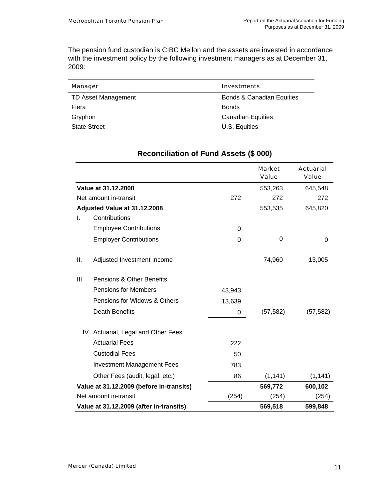The pension fund custodian is CIBC Mellon and the assets are invested in accordance with the investment policy by the following investment managers as at December 31, 2009:

| Manager             | <b>Investments</b>        |
|---------------------|---------------------------|
| TD Asset Management | Bonds & Canadian Equities |
| Fiera               | <b>Bonds</b>              |
| Gryphon             | <b>Canadian Equities</b>  |
| <b>State Street</b> | U.S. Equities             |

|      |                                          |          | <b>Market</b><br>Value | <b>Actuarial</b><br>Value |
|------|------------------------------------------|----------|------------------------|---------------------------|
|      | Value at 31.12.2008                      |          | 553,263                | 645,548                   |
|      | Net amount in-transit                    | 272      | 272                    | 272                       |
|      | Adjusted Value at 31.12.2008             |          | 553,535                | 645,820                   |
| I.   | Contributions                            |          |                        |                           |
|      | <b>Employee Contributions</b>            | $\Omega$ |                        |                           |
|      | <b>Employer Contributions</b>            | 0        | 0                      | 0                         |
| II.  | Adjusted Investment Income               |          | 74,960                 | 13,005                    |
| III. | Pensions & Other Benefits                |          |                        |                           |
|      | <b>Pensions for Members</b>              | 43,943   |                        |                           |
|      | Pensions for Widows & Others             | 13,639   |                        |                           |
|      | <b>Death Benefits</b>                    | 0        | (57, 582)              | (57, 582)                 |
|      | IV. Actuarial, Legal and Other Fees      |          |                        |                           |
|      | <b>Actuarial Fees</b>                    | 222      |                        |                           |
|      | <b>Custodial Fees</b>                    | 50       |                        |                           |
|      | <b>Investment Management Fees</b>        | 783      |                        |                           |
|      | Other Fees (audit, legal, etc.)          | 86       | (1, 141)               | (1, 141)                  |
|      | Value at 31.12.2009 (before in-transits) |          | 569,772                | 600,102                   |
|      | Net amount in-transit                    | (254)    | (254)                  | (254)                     |
|      | Value at 31.12.2009 (after in-transits)  |          | 569,518                | 599,848                   |

### **Reconciliation of Fund Assets (\$ 000)**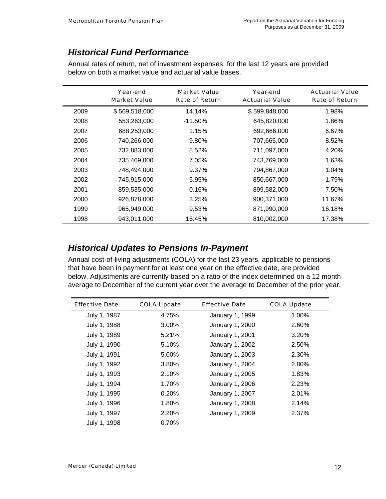## *Historical Fund Performance*

|      | Year-end<br><b>Market Value</b> | <b>Market Value</b><br><b>Rate of Return</b> | Year-end<br><b>Actuarial Value</b> | <b>Actuarial Value</b><br><b>Rate of Return</b> |
|------|---------------------------------|----------------------------------------------|------------------------------------|-------------------------------------------------|
| 2009 | \$569,518,000                   | 14.14%                                       | \$599,848,000                      | 1.98%                                           |
| 2008 | 553,263,000                     | $-11.50\%$                                   | 645,820,000                        | 1.86%                                           |
| 2007 | 688,253,000                     | 1.15%                                        | 692,666,000                        | 6.67%                                           |
| 2006 | 740,266,000                     | 9.80%                                        | 707,665,000                        | 8.52%                                           |
| 2005 | 732,883,000                     | 8.52%                                        | 711,097,000                        | 4.20%                                           |
| 2004 | 735.469.000                     | 7.05%                                        | 743,769,000                        | 1.63%                                           |
| 2003 | 748,494,000                     | 9.37%                                        | 794,867,000                        | 1.04%                                           |
| 2002 | 745,915,000                     | -5.95%                                       | 850,667,000                        | 1.79%                                           |
| 2001 | 859,535,000                     | $-0.16%$                                     | 899,582,000                        | 7.50%                                           |
| 2000 | 926,878,000                     | 3.25%                                        | 900,371,000                        | 11.67%                                          |
| 1999 | 965,949,000                     | 9.53%                                        | 871,990,000                        | 16.18%                                          |
| 1998 | 943,011,000                     | 16.45%                                       | 810,002,000                        | 17.38%                                          |

Annual rates of return, net of investment expenses, for the last 12 years are provided below on both a market value and actuarial value bases.

### *Historical Updates to Pensions In-Payment*

Annual cost-of-living adjustments (COLA) for the last 23 years, applicable to pensions that have been in payment for at least one year on the effective date, are provided below. Adjustments are currently based on a ratio of the index determined on a 12 month average to December of the current year over the average to December of the prior year.

| <b>Effective Date</b> | <b>COLA Update</b> | <b>Effective Date</b> | <b>COLA Update</b> |
|-----------------------|--------------------|-----------------------|--------------------|
| July 1, 1987          | 4.75%              | January 1, 1999       | 1.00%              |
| July 1, 1988          | 3.00%              | January 1, 2000       | 2.60%              |
| July 1, 1989          | 5.21%              | January 1, 2001       | 3.20%              |
| July 1, 1990          | 5.10%              | January 1, 2002       | 2.50%              |
| July 1, 1991          | 5.00%              | January 1, 2003       | 2.30%              |
| July 1, 1992          | 3.80%              | January 1, 2004       | 2.80%              |
| July 1, 1993          | 2.10%              | January 1, 2005       | 1.83%              |
| July 1, 1994          | 1.70%              | January 1, 2006       | 2.23%              |
| July 1, 1995          | 0.20%              | January 1, 2007       | 2.01%              |
| July 1, 1996          | 1.80%              | January 1, 2008       | 2.14%              |
| July 1, 1997          | 2.20%              | January 1, 2009       | 2.37%              |
| July 1, 1998          | 0.70%              |                       |                    |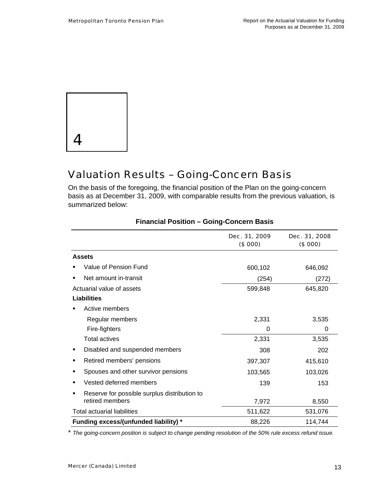

## Valuation Results – Going-Concern Basis

On the basis of the foregoing, the financial position of the Plan on the going-concern basis as at December 31, 2009, with comparable results from the previous valuation, is summarized below:

|                                                   | Dec. 31, 2009<br>(\$000) | Dec. 31, 2008<br>(\$000) |
|---------------------------------------------------|--------------------------|--------------------------|
| <b>Assets</b>                                     |                          |                          |
| Value of Pension Fund                             | 600,102                  | 646,092                  |
| Net amount in-transit                             | (254)                    | (272)                    |
| Actuarial value of assets                         | 599,848                  | 645,820                  |
| Liabilities                                       |                          |                          |
| Active members                                    |                          |                          |
| Regular members                                   | 2,331                    | 3,535                    |
| Fire-fighters                                     | 0                        | 0                        |
| Total actives                                     | 2,331                    | 3,535                    |
| Disabled and suspended members<br>٠               | 308                      | 202                      |
| Retired members' pensions<br>٠                    | 397,307                  | 415,610                  |
| Spouses and other survivor pensions<br>■          | 103,565                  | 103,026                  |
| Vested deferred members<br>■                      | 139                      | 153                      |
| Reserve for possible surplus distribution to<br>٠ |                          |                          |
| retired members                                   | 7,972                    | 8,550                    |
| <b>Total actuarial liabilities</b>                | 511,622                  | 531,076                  |
| Funding excess/(unfunded liability) *             | 88,226                   | 114,744                  |

#### **Financial Position – Going-Concern Basis**

\* *The going-concern position is subject to change pending resolution of the 50% rule excess refund issue.*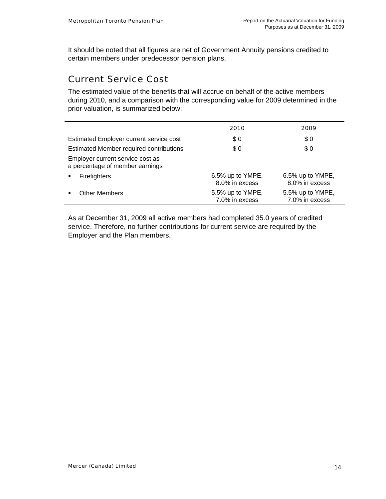It should be noted that all figures are net of Government Annuity pensions credited to certain members under predecessor pension plans.

## Current Service Cost

The estimated value of the benefits that will accrue on behalf of the active members during 2010, and a comparison with the corresponding value for 2009 determined in the prior valuation, is summarized below:

|                                                                     | 2010                               | 2009                               |
|---------------------------------------------------------------------|------------------------------------|------------------------------------|
| <b>Estimated Employer current service cost</b>                      | \$0                                | \$0                                |
| Estimated Member required contributions                             | \$0                                | \$0                                |
| Employer current service cost as<br>a percentage of member earnings |                                    |                                    |
| <b>Firefighters</b>                                                 | 6.5% up to YMPE,<br>8.0% in excess | 6.5% up to YMPE,<br>8.0% in excess |
| <b>Other Members</b>                                                | 5.5% up to YMPE,<br>7.0% in excess | 5.5% up to YMPE,<br>7.0% in excess |

As at December 31, 2009 all active members had completed 35.0 years of credited service. Therefore, no further contributions for current service are required by the Employer and the Plan members.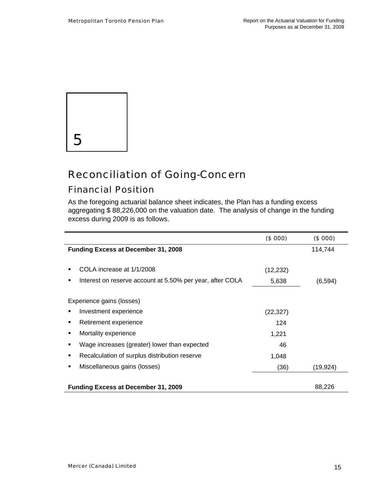

## Reconciliation of Going-Concern

## Financial Position

As the foregoing actuarial balance sheet indicates, the Plan has a funding excess aggregating \$ 88,226,000 on the valuation date. The analysis of change in the funding excess during 2009 is as follows.

|                                                           | (\$000)   | (\$000)   |
|-----------------------------------------------------------|-----------|-----------|
| <b>Funding Excess at December 31, 2008</b>                |           | 114,744   |
|                                                           |           |           |
| COLA increase at 1/1/2008                                 | (12, 232) |           |
| Interest on reserve account at 5.50% per year, after COLA | 5,638     | (6, 594)  |
|                                                           |           |           |
| Experience gains (losses)                                 |           |           |
| Investment experience                                     | (22, 327) |           |
| Retirement experience                                     | 124       |           |
| Mortality experience                                      | 1,221     |           |
| Wage increases (greater) lower than expected              | 46        |           |
| Recalculation of surplus distribution reserve<br>٠        | 1,048     |           |
| Miscellaneous gains (losses)                              | (36)      | (19, 924) |
|                                                           |           |           |
| <b>Funding Excess at December 31, 2009</b>                |           | 88,226    |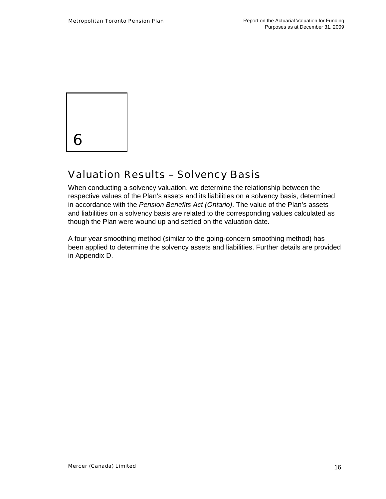

## Valuation Results – Solvency Basis

When conducting a solvency valuation, we determine the relationship between the respective values of the Plan's assets and its liabilities on a solvency basis, determined in accordance with the *Pension Benefits Act (Ontario)*. The value of the Plan's assets and liabilities on a solvency basis are related to the corresponding values calculated as though the Plan were wound up and settled on the valuation date.

A four year smoothing method (similar to the going-concern smoothing method) has been applied to determine the solvency assets and liabilities. Further details are provided in Appendix D.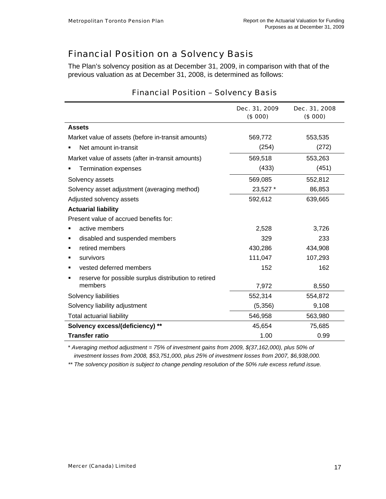## Financial Position on a Solvency Basis

The Plan's solvency position as at December 31, 2009, in comparison with that of the previous valuation as at December 31, 2008, is determined as follows:

|                                                      | Dec. 31, 2009<br>(\$000) | Dec. 31, 2008<br>(\$000) |
|------------------------------------------------------|--------------------------|--------------------------|
| <b>Assets</b>                                        |                          |                          |
| Market value of assets (before in-transit amounts)   | 569,772                  | 553,535                  |
| Net amount in-transit                                | (254)                    | (272)                    |
| Market value of assets (after in-transit amounts)    | 569,518                  | 553,263                  |
| <b>Termination expenses</b>                          | (433)                    | (451)                    |
| Solvency assets                                      | 569,085                  | 552,812                  |
| Solvency asset adjustment (averaging method)         | 23,527 *                 | 86,853                   |
| Adjusted solvency assets                             | 592,612                  | 639,665                  |
| <b>Actuarial liability</b>                           |                          |                          |
| Present value of accrued benefits for:               |                          |                          |
| active members                                       | 2,528                    | 3,726                    |
| disabled and suspended members                       | 329                      | 233                      |
| retired members                                      | 430,286                  | 434,908                  |
| survivors                                            | 111,047                  | 107,293                  |
| vested deferred members                              | 152                      | 162                      |
| reserve for possible surplus distribution to retired |                          |                          |
| members                                              | 7,972                    | 8,550                    |
| Solvency liabilities                                 | 552,314                  | 554,872                  |
| Solvency liability adjustment                        | (5,356)                  | 9,108                    |
| <b>Total actuarial liability</b>                     | 546,958                  | 563,980                  |
| Solvency excess/(deficiency) **                      | 45,654                   | 75,685                   |
| <b>Transfer ratio</b>                                | 1.00                     | 0.99                     |

### Financial Position – Solvency Basis

\* *Averaging method adjustment = 75% of investment gains from 2009, \$(37,162,000), plus 50% of investment losses from 2008, \$53,751,000, plus 25% of investment losses from 2007, \$6,938,000.* 

*\*\* The solvency position is subject to change pending resolution of the 50% rule excess refund issue.*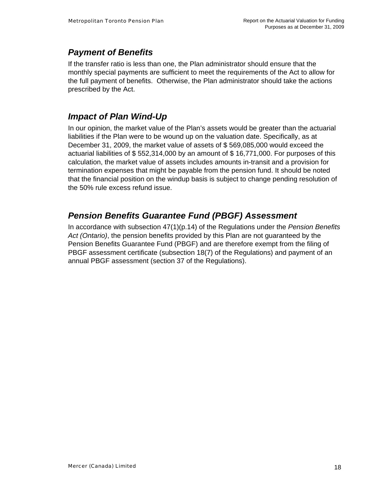## *Payment of Benefits*

If the transfer ratio is less than one, the Plan administrator should ensure that the monthly special payments are sufficient to meet the requirements of the Act to allow for the full payment of benefits. Otherwise, the Plan administrator should take the actions prescribed by the Act.

### *Impact of Plan Wind-Up*

In our opinion, the market value of the Plan's assets would be greater than the actuarial liabilities if the Plan were to be wound up on the valuation date. Specifically, as at December 31, 2009, the market value of assets of \$ 569,085,000 would exceed the actuarial liabilities of \$ 552,314,000 by an amount of \$ 16,771,000. For purposes of this calculation, the market value of assets includes amounts in-transit and a provision for termination expenses that might be payable from the pension fund. It should be noted that the financial position on the windup basis is subject to change pending resolution of the 50% rule excess refund issue.

## *Pension Benefits Guarantee Fund (PBGF) Assessment*

In accordance with subsection 47(1)(p.14) of the Regulations under the *Pension Benefits Act (Ontario)*, the pension benefits provided by this Plan are not guaranteed by the Pension Benefits Guarantee Fund (PBGF) and are therefore exempt from the filing of PBGF assessment certificate (subsection 18(7) of the Regulations) and payment of an annual PBGF assessment (section 37 of the Regulations).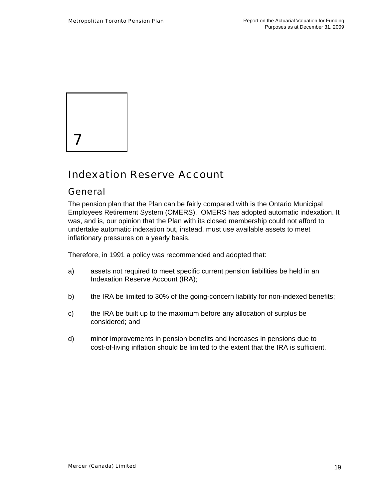

## Indexation Reserve Account

### General

The pension plan that the Plan can be fairly compared with is the Ontario Municipal Employees Retirement System (OMERS). OMERS has adopted automatic indexation. It was, and is, our opinion that the Plan with its closed membership could not afford to undertake automatic indexation but, instead, must use available assets to meet inflationary pressures on a yearly basis.

Therefore, in 1991 a policy was recommended and adopted that:

- a) assets not required to meet specific current pension liabilities be held in an Indexation Reserve Account (IRA);
- b) the IRA be limited to 30% of the going-concern liability for non-indexed benefits;
- c) the IRA be built up to the maximum before any allocation of surplus be considered; and
- d) minor improvements in pension benefits and increases in pensions due to cost-of-living inflation should be limited to the extent that the IRA is sufficient.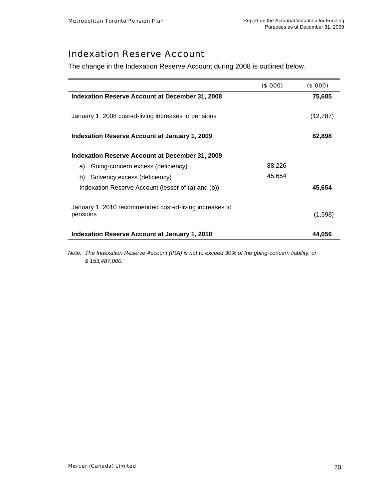## Indexation Reserve Account

The change in the Indexation Reserve Account during 2008 is outlined below.

| Indexation Reserve Account at December 31, 2008<br>75,685<br>January 1, 2008 cost-of-living increases to pensions<br>(12, 787)<br><b>Indexation Reserve Account at January 1, 2009</b><br>62,898<br>Indexation Reserve Account at December 31, 2009<br>88,226<br>Going-concern excess (deficiency)<br>a)<br>45,654<br>Solvency excess (deficiency)<br>b)<br>Indexation Reserve Account (lesser of (a) and (b))<br>45,654<br>January 1, 2010 recommended cost-of-living increases to<br>pensions<br>(1,598)<br><b>Indexation Reserve Account at January 1, 2010</b><br>44,056 | (\$000) | (\$000) |
|------------------------------------------------------------------------------------------------------------------------------------------------------------------------------------------------------------------------------------------------------------------------------------------------------------------------------------------------------------------------------------------------------------------------------------------------------------------------------------------------------------------------------------------------------------------------------|---------|---------|
|                                                                                                                                                                                                                                                                                                                                                                                                                                                                                                                                                                              |         |         |
|                                                                                                                                                                                                                                                                                                                                                                                                                                                                                                                                                                              |         |         |
|                                                                                                                                                                                                                                                                                                                                                                                                                                                                                                                                                                              |         |         |
|                                                                                                                                                                                                                                                                                                                                                                                                                                                                                                                                                                              |         |         |
|                                                                                                                                                                                                                                                                                                                                                                                                                                                                                                                                                                              |         |         |
|                                                                                                                                                                                                                                                                                                                                                                                                                                                                                                                                                                              |         |         |
|                                                                                                                                                                                                                                                                                                                                                                                                                                                                                                                                                                              |         |         |
|                                                                                                                                                                                                                                                                                                                                                                                                                                                                                                                                                                              |         |         |

*Note: The Indexation Reserve Account (IRA) is not to exceed 30% of the going-concern liability, or \$ 153,487,000.*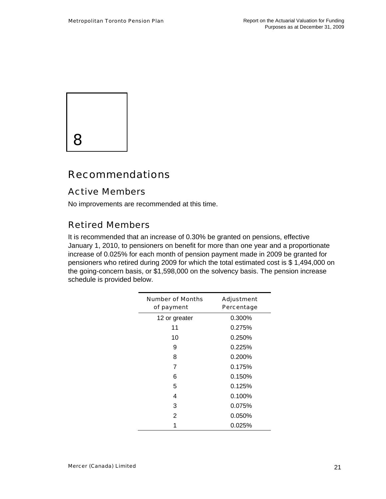

## Recommendations

## Active Members

No improvements are recommended at this time.

## Retired Members

It is recommended that an increase of 0.30% be granted on pensions, effective January 1, 2010, to pensioners on benefit for more than one year and a proportionate increase of 0.025% for each month of pension payment made in 2009 be granted for pensioners who retired during 2009 for which the total estimated cost is \$ 1,494,000 on the going-concern basis, or \$1,598,000 on the solvency basis. The pension increase schedule is provided below.

| <b>Number of Months</b><br>of payment | Adjustment<br>Percentage |
|---------------------------------------|--------------------------|
| 12 or greater                         | 0.300%                   |
| 11                                    | 0.275%                   |
| 10                                    | 0.250%                   |
| 9                                     | 0.225%                   |
| 8                                     | 0.200%                   |
| 7                                     | 0.175%                   |
| 6                                     | 0.150%                   |
| 5                                     | 0.125%                   |
| 4                                     | 0.100%                   |
| 3                                     | 0.075%                   |
| 2                                     | 0.050%                   |
|                                       | 0.025%                   |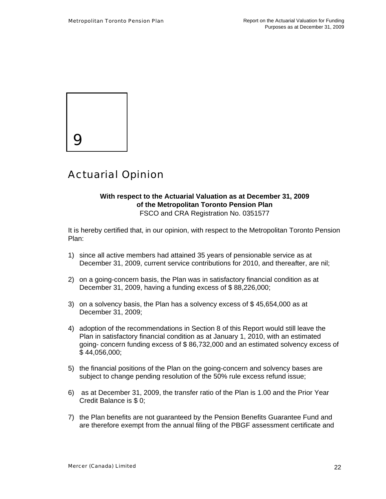

## Actuarial Opinion

#### **With respect to the Actuarial Valuation as at December 31, 2009 of the Metropolitan Toronto Pension Plan**  FSCO and CRA Registration No. 0351577

It is hereby certified that, in our opinion, with respect to the Metropolitan Toronto Pension Plan:

- 1) since all active members had attained 35 years of pensionable service as at December 31, 2009, current service contributions for 2010, and thereafter, are nil;
- 2) on a going-concern basis, the Plan was in satisfactory financial condition as at December 31, 2009, having a funding excess of \$ 88,226,000;
- 3) on a solvency basis, the Plan has a solvency excess of \$ 45,654,000 as at December 31, 2009;
- 4) adoption of the recommendations in Section 8 of this Report would still leave the Plan in satisfactory financial condition as at January 1, 2010, with an estimated going- concern funding excess of \$ 86,732,000 and an estimated solvency excess of \$ 44,056,000;
- 5) the financial positions of the Plan on the going-concern and solvency bases are subject to change pending resolution of the 50% rule excess refund issue;
- 6) as at December 31, 2009, the transfer ratio of the Plan is 1.00 and the Prior Year Credit Balance is \$ 0;
- 7) the Plan benefits are not guaranteed by the Pension Benefits Guarantee Fund and are therefore exempt from the annual filing of the PBGF assessment certificate and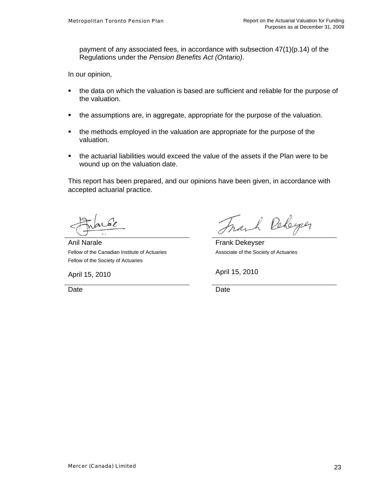payment of any associated fees, in accordance with subsection  $47(1)(p.14)$  of the Regulations under the *Pension Benefits Act (Ontario)*.

In our opinion,

- the data on which the valuation is based are sufficient and reliable for the purpose of the valuation.
- the assumptions are, in aggregate, appropriate for the purpose of the valuation.
- the methods employed in the valuation are appropriate for the purpose of the valuation.
- the actuarial liabilities would exceed the value of the assets if the Plan were to be wound up on the valuation date.

This report has been prepared, and our opinions have been given, in accordance with accepted actuarial practice.

Anil Narale Fellow of the Canadian Institute of Actuaries Fellow of the Society of Actuaries

ach Rebeyer

 Frank Dekeyser Associate of the Society of Actuaries

April 15, 2010 **April 15, 2010** 

Date **Date Date Date Date**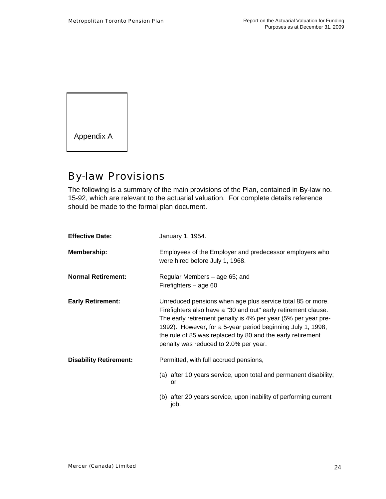

## By-law Provisions

The following is a summary of the main provisions of the Plan, contained in By-law no. 15-92, which are relevant to the actuarial valuation. For complete details reference should be made to the formal plan document.

| <b>Effective Date:</b>        | January 1, 1954.                                                                                                                                                                                                                                                                                                                                                    |
|-------------------------------|---------------------------------------------------------------------------------------------------------------------------------------------------------------------------------------------------------------------------------------------------------------------------------------------------------------------------------------------------------------------|
| Membership:                   | Employees of the Employer and predecessor employers who<br>were hired before July 1, 1968.                                                                                                                                                                                                                                                                          |
| <b>Normal Retirement:</b>     | Regular Members – age 65; and<br>Firefighters $-$ age 60                                                                                                                                                                                                                                                                                                            |
| <b>Early Retirement:</b>      | Unreduced pensions when age plus service total 85 or more.<br>Firefighters also have a "30 and out" early retirement clause.<br>The early retirement penalty is 4% per year (5% per year pre-<br>1992). However, for a 5-year period beginning July 1, 1998,<br>the rule of 85 was replaced by 80 and the early retirement<br>penalty was reduced to 2.0% per year. |
| <b>Disability Retirement:</b> | Permitted, with full accrued pensions,                                                                                                                                                                                                                                                                                                                              |
|                               | (a) after 10 years service, upon total and permanent disability;<br>or                                                                                                                                                                                                                                                                                              |
|                               | (b) after 20 years service, upon inability of performing current<br>job.                                                                                                                                                                                                                                                                                            |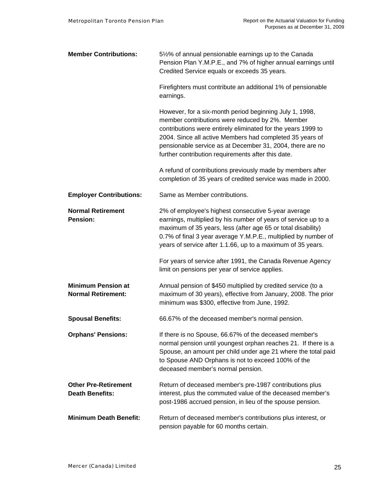| <b>Member Contributions:</b>                           | 51/2% of annual pensionable earnings up to the Canada<br>Pension Plan Y.M.P.E., and 7% of higher annual earnings until<br>Credited Service equals or exceeds 35 years.                                                                                                                                                                                    |
|--------------------------------------------------------|-----------------------------------------------------------------------------------------------------------------------------------------------------------------------------------------------------------------------------------------------------------------------------------------------------------------------------------------------------------|
|                                                        | Firefighters must contribute an additional 1% of pensionable<br>earnings.                                                                                                                                                                                                                                                                                 |
|                                                        | However, for a six-month period beginning July 1, 1998,<br>member contributions were reduced by 2%. Member<br>contributions were entirely eliminated for the years 1999 to<br>2004. Since all active Members had completed 35 years of<br>pensionable service as at December 31, 2004, there are no<br>further contribution requirements after this date. |
|                                                        | A refund of contributions previously made by members after<br>completion of 35 years of credited service was made in 2000.                                                                                                                                                                                                                                |
| <b>Employer Contributions:</b>                         | Same as Member contributions.                                                                                                                                                                                                                                                                                                                             |
| <b>Normal Retirement</b><br><b>Pension:</b>            | 2% of employee's highest consecutive 5-year average<br>earnings, multiplied by his number of years of service up to a<br>maximum of 35 years, less (after age 65 or total disability)<br>0.7% of final 3 year average Y.M.P.E., multiplied by number of<br>years of service after 1.1.66, up to a maximum of 35 years.                                    |
|                                                        | For years of service after 1991, the Canada Revenue Agency<br>limit on pensions per year of service applies.                                                                                                                                                                                                                                              |
| <b>Minimum Pension at</b><br><b>Normal Retirement:</b> | Annual pension of \$450 multiplied by credited service (to a<br>maximum of 30 years), effective from January, 2008. The prior<br>minimum was \$300, effective from June, 1992.                                                                                                                                                                            |
| <b>Spousal Benefits:</b>                               | 66.67% of the deceased member's normal pension.                                                                                                                                                                                                                                                                                                           |
| <b>Orphans' Pensions:</b>                              | If there is no Spouse, 66.67% of the deceased member's<br>normal pension until youngest orphan reaches 21. If there is a<br>Spouse, an amount per child under age 21 where the total paid<br>to Spouse AND Orphans is not to exceed 100% of the<br>deceased member's normal pension.                                                                      |
| <b>Other Pre-Retirement</b><br><b>Death Benefits:</b>  | Return of deceased member's pre-1987 contributions plus<br>interest, plus the commuted value of the deceased member's<br>post-1986 accrued pension, in lieu of the spouse pension.                                                                                                                                                                        |
| <b>Minimum Death Benefit:</b>                          | Return of deceased member's contributions plus interest, or<br>pension payable for 60 months certain.                                                                                                                                                                                                                                                     |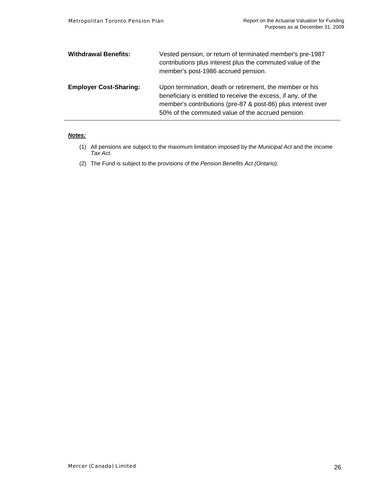| <b>Withdrawal Benefits:</b>   | Vested pension, or return of terminated member's pre-1987<br>contributions plus interest plus the commuted value of the<br>member's post-1986 accrued pension.                                                                                 |
|-------------------------------|------------------------------------------------------------------------------------------------------------------------------------------------------------------------------------------------------------------------------------------------|
| <b>Employer Cost-Sharing:</b> | Upon termination, death or retirement, the member or his<br>beneficiary is entitled to receive the excess, if any, of the<br>member's contributions (pre-87 & post-86) plus interest over<br>50% of the commuted value of the accrued pension. |

#### *Notes:*

- (1) All pensions are subject to the maximum limitation imposed by the *Municipal Act* and the *Income Tax Act*.
- (2) The Fund is subject to the provisions of the *Pension Benefits Act (Ontario).*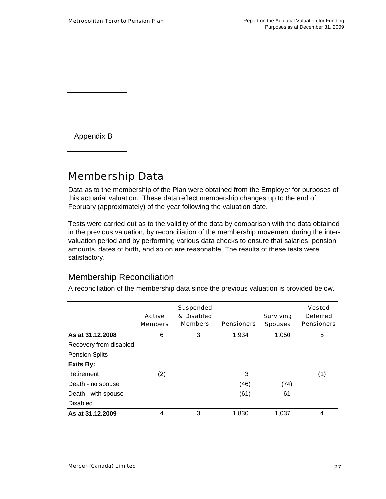

## Membership Data

Data as to the membership of the Plan were obtained from the Employer for purposes of this actuarial valuation. These data reflect membership changes up to the end of February (approximately) of the year following the valuation date.

Tests were carried out as to the validity of the data by comparison with the data obtained in the previous valuation, by reconciliation of the membership movement during the intervaluation period and by performing various data checks to ensure that salaries, pension amounts, dates of birth, and so on are reasonable. The results of these tests were satisfactory.

### Membership Reconciliation

A reconciliation of the membership data since the previous valuation is provided below.

|                        | <b>Active</b><br><b>Members</b> | <b>Suspended</b><br>& Disabled<br><b>Members</b> | <b>Pensioners</b> | <b>Surviving</b><br><b>Spouses</b> | <b>Vested</b><br><b>Deferred</b><br><b>Pensioners</b> |
|------------------------|---------------------------------|--------------------------------------------------|-------------------|------------------------------------|-------------------------------------------------------|
| As at 31.12.2008       | 6                               | 3                                                | 1,934             | 1,050                              | 5                                                     |
| Recovery from disabled |                                 |                                                  |                   |                                    |                                                       |
| <b>Pension Splits</b>  |                                 |                                                  |                   |                                    |                                                       |
| <b>Exits By:</b>       |                                 |                                                  |                   |                                    |                                                       |
| Retirement             | (2)                             |                                                  | 3                 |                                    | (1)                                                   |
| Death - no spouse      |                                 |                                                  | (46)              | (74)                               |                                                       |
| Death - with spouse    |                                 |                                                  | (61)              | 61                                 |                                                       |
| <b>Disabled</b>        |                                 |                                                  |                   |                                    |                                                       |
| As at 31.12.2009       | 4                               | 3                                                | 1.830             | 1.037                              | 4                                                     |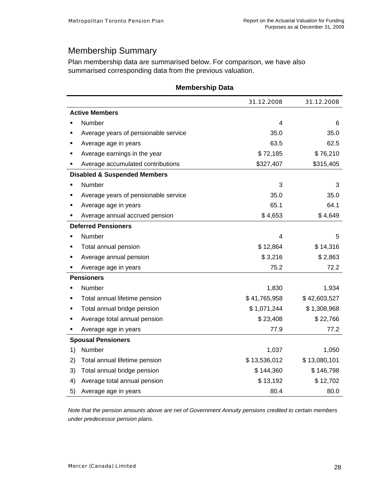## Membership Summary

Plan membership data are summarised below. For comparison, we have also summarised corresponding data from the previous valuation.

|    |                                         | 31.12.2008   | 31.12.2008   |
|----|-----------------------------------------|--------------|--------------|
|    | <b>Active Members</b>                   |              |              |
|    | Number                                  | 4            | 6            |
|    | Average years of pensionable service    | 35.0         | 35.0         |
|    | Average age in years                    | 63.5         | 62.5         |
|    | Average earnings in the year            | \$72,185     | \$76,210     |
|    | Average accumulated contributions       | \$327,407    | \$315,405    |
|    | <b>Disabled &amp; Suspended Members</b> |              |              |
|    | Number                                  | 3            | 3            |
|    | Average years of pensionable service    | 35.0         | 35.0         |
|    | Average age in years                    | 65.1         | 64.1         |
|    | Average annual accrued pension          | \$4,653      | \$4,649      |
|    | <b>Deferred Pensioners</b>              |              |              |
|    | Number                                  | 4            | 5            |
|    | Total annual pension                    | \$12,864     | \$14,316     |
|    | Average annual pension                  | \$3,216      | \$2,863      |
|    | Average age in years                    | 75.2         | 72.2         |
|    | <b>Pensioners</b>                       |              |              |
|    | Number                                  | 1,830        | 1,934        |
|    | Total annual lifetime pension           | \$41,765,958 | \$42,603,527 |
|    | Total annual bridge pension             | \$1,071,244  | \$1,308,968  |
|    | Average total annual pension            | \$23,408     | \$22,766     |
|    | Average age in years                    | 77.9         | 77.2         |
|    | <b>Spousal Pensioners</b>               |              |              |
| 1) | Number                                  | 1,037        | 1,050        |
| 2) | Total annual lifetime pension           | \$13,536,012 | \$13,080,101 |
| 3) | Total annual bridge pension             | \$144,360    | \$146,798    |
| 4) | Average total annual pension            | \$13,192     | \$12,702     |
| 5) | Average age in years                    | 80.4         | 80.0         |

#### **Membership Data**

*Note that the pension amounts above are net of Government Annuity pensions credited to certain members under predecessor pension plans.*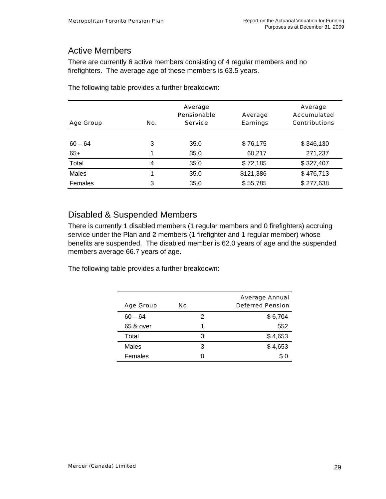## Active Members

There are currently 6 active members consisting of 4 regular members and no firefighters. The average age of these members is 63.5 years.

| <b>Age Group</b> | No. | Average<br><b>Pensionable</b><br><b>Service</b> | Average<br><b>Earnings</b> | Average<br>Accumulated<br><b>Contributions</b> |
|------------------|-----|-------------------------------------------------|----------------------------|------------------------------------------------|
|                  |     |                                                 |                            |                                                |
| $60 - 64$        | 3   | 35.0                                            | \$76,175                   | \$346,130                                      |
| $65+$            | 1   | 35.0                                            | 60,217                     | 271,237                                        |
| Total            | 4   | 35.0                                            | \$72,185                   | \$327,407                                      |
| Males            | 1   | 35.0                                            | \$121,386                  | \$476,713                                      |
| Females          | 3   | 35.0                                            | \$55,785                   | \$277,638                                      |

The following table provides a further breakdown:

### Disabled & Suspended Members

There is currently 1 disabled members (1 regular members and 0 firefighters) accruing service under the Plan and 2 members (1 firefighter and 1 regular member) whose benefits are suspended. The disabled member is 62.0 years of age and the suspended members average 66.7 years of age.

The following table provides a further breakdown:

|                  |     | <b>Average Annual</b>   |
|------------------|-----|-------------------------|
| <b>Age Group</b> | No. | <b>Deferred Pension</b> |
| $60 - 64$        | 2   | \$6,704                 |
| 65 & over        | 1   | 552                     |
| Total            | З   | \$4,653                 |
| Males            | З   | \$4,653                 |
| Females          |     | \$0                     |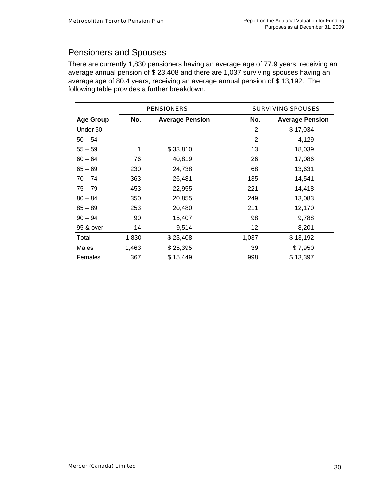## Pensioners and Spouses

There are currently 1,830 pensioners having an average age of 77.9 years, receiving an average annual pension of \$ 23,408 and there are 1,037 surviving spouses having an average age of 80.4 years, receiving an average annual pension of \$ 13,192. The following table provides a further breakdown.

|                  | <b>PENSIONERS</b> |                        |       | <b>SURVIVING SPOUSES</b> |
|------------------|-------------------|------------------------|-------|--------------------------|
| <b>Age Group</b> | No.               | <b>Average Pension</b> | No.   | <b>Average Pension</b>   |
| Under 50         |                   |                        | 2     | \$17,034                 |
| $50 - 54$        |                   |                        | 2     | 4,129                    |
| $55 - 59$        | 1                 | \$33,810               | 13    | 18,039                   |
| $60 - 64$        | 76                | 40,819                 | 26    | 17,086                   |
| $65 - 69$        | 230               | 24,738                 | 68    | 13,631                   |
| $70 - 74$        | 363               | 26,481                 | 135   | 14,541                   |
| $75 - 79$        | 453               | 22,955                 | 221   | 14,418                   |
| $80 - 84$        | 350               | 20,855                 | 249   | 13,083                   |
| $85 - 89$        | 253               | 20,480                 | 211   | 12,170                   |
| $90 - 94$        | 90                | 15,407                 | 98    | 9,788                    |
| 95 & over        | 14                | 9,514                  | 12    | 8,201                    |
| Total            | 1,830             | \$23,408               | 1,037 | \$13,192                 |
| Males            | 1,463             | \$25,395               | 39    | \$7,950                  |
| Females          | 367               | \$15,449               | 998   | \$13,397                 |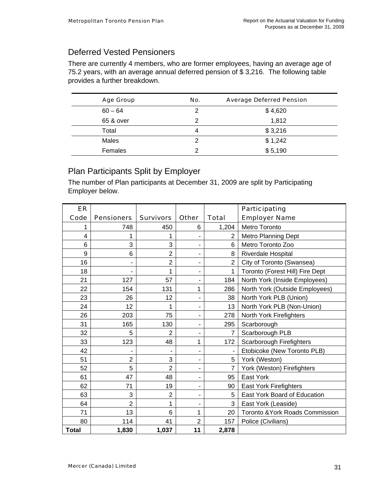### Deferred Vested Pensioners

There are currently 4 members, who are former employees, having an average age of 75.2 years, with an average annual deferred pension of \$ 3,216. The following table provides a further breakdown.

| <b>Age Group</b> | No. | <b>Average Deferred Pension</b> |
|------------------|-----|---------------------------------|
| $60 - 64$        | 2   | \$4,620                         |
| 65 & over        | 2   | 1,812                           |
| Total            | 4   | \$3,216                         |
| Males            | 2   | \$1,242                         |
| Females          | າ   | \$5,190                         |

## Plan Participants Split by Employer

The number of Plan participants at December 31, 2009 are split by Participating Employer below.

| ER           |                          |                  |                              |                | Participating                   |
|--------------|--------------------------|------------------|------------------------------|----------------|---------------------------------|
| Code         | <b>Pensioners</b>        | <b>Survivors</b> | <b>Other</b>                 | <b>Total</b>   | <b>Employer Name</b>            |
| 1            | 748                      | 450              | 6                            | 1,204          | Metro Toronto                   |
| 4            | 1                        | 1                | $\overline{\phantom{a}}$     | $\overline{2}$ | Metro Planning Dept             |
| 6            | 3                        | 3                | -                            | 6              | Metro Toronto Zoo               |
| 9            | 6                        | $\overline{2}$   | -                            | 8              | Riverdale Hospital              |
| 16           | $\overline{\phantom{m}}$ | $\overline{2}$   | $\qquad \qquad \blacksquare$ | $\overline{2}$ | City of Toronto (Swansea)       |
| 18           | ٠                        | 1                | -                            | 1              | Toronto (Forest Hill) Fire Dept |
| 21           | 127                      | 57               | -                            | 184            | North York (Inside Employees)   |
| 22           | 154                      | 131              | 1                            | 286            | North York (Outside Employees)  |
| 23           | 26                       | 12               | $\overline{\phantom{0}}$     | 38             | North York PLB (Union)          |
| 24           | 12                       | 1                | $\overline{\phantom{a}}$     | 13             | North York PLB (Non-Union)      |
| 26           | 203                      | 75               | -                            | 278            | North York Firefighters         |
| 31           | 165                      | 130              | -                            | 295            | Scarborough                     |
| 32           | 5                        | $\overline{2}$   | -                            | $\overline{7}$ | Scarborough PLB                 |
| 33           | 123                      | 48               | 1                            | 172            | Scarborough Firefighters        |
| 42           |                          |                  | -                            |                | Etobicoke (New Toronto PLB)     |
| 51           | $\overline{2}$           | 3                | $\qquad \qquad \blacksquare$ | 5              | York (Weston)                   |
| 52           | 5                        | $\overline{2}$   | -                            | 7              | York (Weston) Firefighters      |
| 61           | 47                       | 48               | ۰                            | 95             | East York                       |
| 62           | 71                       | 19               | -                            | 90             | <b>East York Firefighters</b>   |
| 63           | 3                        | $\overline{2}$   | -                            | 5              | East York Board of Education    |
| 64           | $\overline{2}$           | 1                | $\overline{\phantom{a}}$     | 3              | East York (Leaside)             |
| 71           | 13                       | 6                | 1                            | 20             | Toronto & York Roads Commission |
| 80           | 114                      | 41               | $\overline{2}$               | 157            | Police (Civilians)              |
| <b>Total</b> | 1,830                    | 1,037            | 11                           | 2,878          |                                 |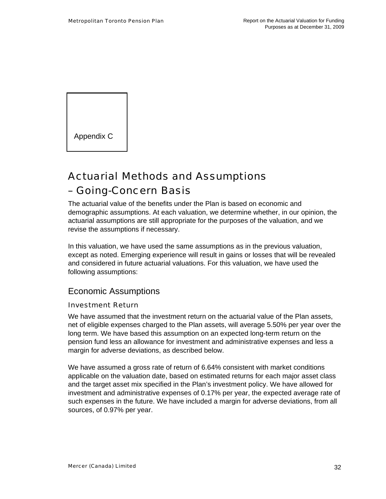Appendix C

## Actuarial Methods and Assumptions – Going-Concern Basis

The actuarial value of the benefits under the Plan is based on economic and demographic assumptions. At each valuation, we determine whether, in our opinion, the actuarial assumptions are still appropriate for the purposes of the valuation, and we revise the assumptions if necessary.

In this valuation, we have used the same assumptions as in the previous valuation, except as noted. Emerging experience will result in gains or losses that will be revealed and considered in future actuarial valuations. For this valuation, we have used the following assumptions:

### Economic Assumptions

#### Investment Return

We have assumed that the investment return on the actuarial value of the Plan assets, net of eligible expenses charged to the Plan assets, will average 5.50% per year over the long term. We have based this assumption on an expected long-term return on the pension fund less an allowance for investment and administrative expenses and less a margin for adverse deviations, as described below.

We have assumed a gross rate of return of 6.64% consistent with market conditions applicable on the valuation date, based on estimated returns for each major asset class and the target asset mix specified in the Plan's investment policy. We have allowed for investment and administrative expenses of 0.17% per year, the expected average rate of such expenses in the future. We have included a margin for adverse deviations, from all sources, of 0.97% per year.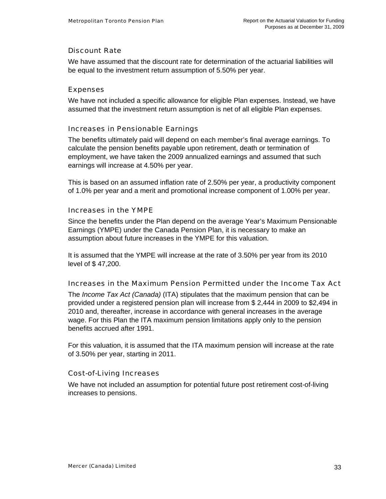#### Discount Rate

We have assumed that the discount rate for determination of the actuarial liabilities will be equal to the investment return assumption of 5.50% per year.

#### Expenses

We have not included a specific allowance for eligible Plan expenses. Instead, we have assumed that the investment return assumption is net of all eligible Plan expenses.

#### Increases in Pensionable Earnings

The benefits ultimately paid will depend on each member's final average earnings. To calculate the pension benefits payable upon retirement, death or termination of employment, we have taken the 2009 annualized earnings and assumed that such earnings will increase at 4.50% per year.

This is based on an assumed inflation rate of 2.50% per year, a productivity component of 1.0% per year and a merit and promotional increase component of 1.00% per year.

#### Increases in the YMPE

Since the benefits under the Plan depend on the average Year's Maximum Pensionable Earnings (YMPE) under the Canada Pension Plan, it is necessary to make an assumption about future increases in the YMPE for this valuation.

It is assumed that the YMPE will increase at the rate of 3.50% per year from its 2010 level of \$ 47,200.

#### Increases in the Maximum Pension Permitted under the Income Tax Act

The *Income Tax Act (Canada)* (ITA) stipulates that the maximum pension that can be provided under a registered pension plan will increase from \$ 2,444 in 2009 to \$2,494 in 2010 and, thereafter, increase in accordance with general increases in the average wage. For this Plan the ITA maximum pension limitations apply only to the pension benefits accrued after 1991.

For this valuation, it is assumed that the ITA maximum pension will increase at the rate of 3.50% per year, starting in 2011.

#### Cost-of-Living Increases

We have not included an assumption for potential future post retirement cost-of-living increases to pensions.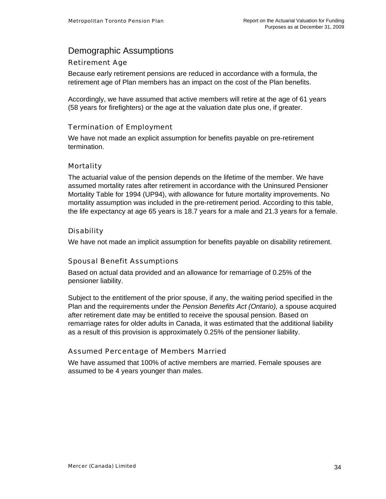### Demographic Assumptions

#### Retirement Age

Because early retirement pensions are reduced in accordance with a formula, the retirement age of Plan members has an impact on the cost of the Plan benefits.

Accordingly, we have assumed that active members will retire at the age of 61 years (58 years for firefighters) or the age at the valuation date plus one, if greater.

#### Termination of Employment

We have not made an explicit assumption for benefits payable on pre-retirement termination.

#### **Mortality**

The actuarial value of the pension depends on the lifetime of the member. We have assumed mortality rates after retirement in accordance with the Uninsured Pensioner Mortality Table for 1994 (UP94), with allowance for future mortality improvements. No mortality assumption was included in the pre-retirement period. According to this table, the life expectancy at age 65 years is 18.7 years for a male and 21.3 years for a female.

#### Disability

We have not made an implicit assumption for benefits payable on disability retirement.

#### Spousal Benefit Assumptions

Based on actual data provided and an allowance for remarriage of 0.25% of the pensioner liability.

Subject to the entitlement of the prior spouse, if any, the waiting period specified in the Plan and the requirements under the *Pension Benefits Act (Ontario),* a spouse acquired after retirement date may be entitled to receive the spousal pension. Based on remarriage rates for older adults in Canada, it was estimated that the additional liability as a result of this provision is approximately 0.25% of the pensioner liability.

#### Assumed Percentage of Members Married

We have assumed that 100% of active members are married. Female spouses are assumed to be 4 years younger than males.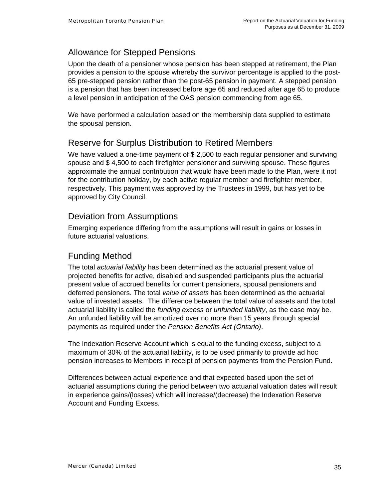## Allowance for Stepped Pensions

Upon the death of a pensioner whose pension has been stepped at retirement, the Plan provides a pension to the spouse whereby the survivor percentage is applied to the post-65 pre-stepped pension rather than the post-65 pension in payment. A stepped pension is a pension that has been increased before age 65 and reduced after age 65 to produce a level pension in anticipation of the OAS pension commencing from age 65.

We have performed a calculation based on the membership data supplied to estimate the spousal pension.

## Reserve for Surplus Distribution to Retired Members

We have valued a one-time payment of \$ 2,500 to each regular pensioner and surviving spouse and \$ 4,500 to each firefighter pensioner and surviving spouse. These figures approximate the annual contribution that would have been made to the Plan, were it not for the contribution holiday, by each active regular member and firefighter member, respectively. This payment was approved by the Trustees in 1999, but has yet to be approved by City Council.

### Deviation from Assumptions

Emerging experience differing from the assumptions will result in gains or losses in future actuarial valuations.

### Funding Method

The total *actuarial liability* has been determined as the actuarial present value of projected benefits for active, disabled and suspended participants plus the actuarial present value of accrued benefits for current pensioners, spousal pensioners and deferred pensioners. The total *value of assets* has been determined as the actuarial value of invested assets. The difference between the total value of assets and the total actuarial liability is called the *funding excess* or *unfunded liability*, as the case may be. An unfunded liability will be amortized over no more than 15 years through special payments as required under the *Pension Benefits Act (Ontario)*.

The Indexation Reserve Account which is equal to the funding excess, subject to a maximum of 30% of the actuarial liability, is to be used primarily to provide ad hoc pension increases to Members in receipt of pension payments from the Pension Fund.

Differences between actual experience and that expected based upon the set of actuarial assumptions during the period between two actuarial valuation dates will result in experience gains/(losses) which will increase/(decrease) the Indexation Reserve Account and Funding Excess.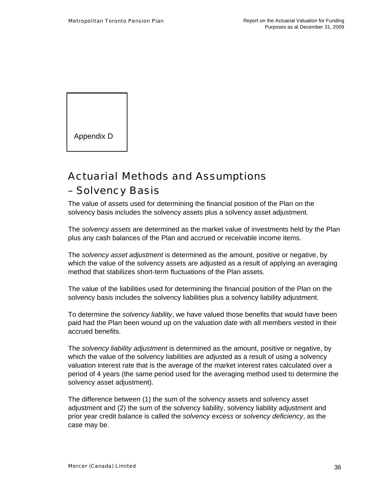Appendix D

## Actuarial Methods and Assumptions – Solvency Basis

The value of assets used for determining the financial position of the Plan on the solvency basis includes the solvency assets plus a solvency asset adjustment.

The *solvency assets* are determined as the market value of investments held by the Plan plus any cash balances of the Plan and accrued or receivable income items.

The *solvency asset adjustment* is determined as the amount, positive or negative, by which the value of the solvency assets are adjusted as a result of applying an averaging method that stabilizes short-term fluctuations of the Plan assets.

The value of the liabilities used for determining the financial position of the Plan on the solvency basis includes the solvency liabilities plus a solvency liability adjustment.

To determine the *solvency liability*, we have valued those benefits that would have been paid had the Plan been wound up on the valuation date with all members vested in their accrued benefits.

The *solvency liability adjustment* is determined as the amount, positive or negative, by which the value of the solvency liabilities are adjusted as a result of using a solvency valuation interest rate that is the average of the market interest rates calculated over a period of 4 years (the same period used for the averaging method used to determine the solvency asset adjustment).

The difference between (1) the sum of the solvency assets and solvency asset adjustment and (2) the sum of the solvency liability, solvency liability adjustment and prior year credit balance is called the *solvency excess* or *solvency deficiency*, as the case may be.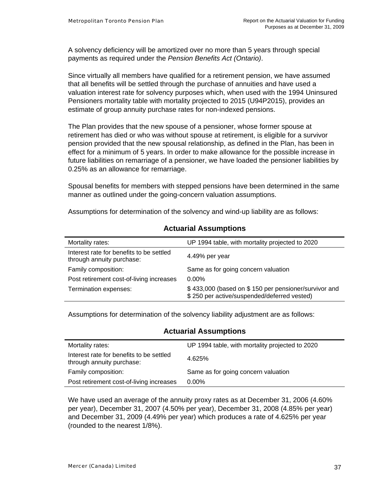A solvency deficiency will be amortized over no more than 5 years through special payments as required under the *Pension Benefits Act (Ontario)*.

Since virtually all members have qualified for a retirement pension, we have assumed that all benefits will be settled through the purchase of annuities and have used a valuation interest rate for solvency purposes which, when used with the 1994 Uninsured Pensioners mortality table with mortality projected to 2015 (U94P2015), provides an estimate of group annuity purchase rates for non-indexed pensions.

The Plan provides that the new spouse of a pensioner, whose former spouse at retirement has died or who was without spouse at retirement, is eligible for a survivor pension provided that the new spousal relationship, as defined in the Plan, has been in effect for a minimum of 5 years. In order to make allowance for the possible increase in future liabilities on remarriage of a pensioner, we have loaded the pensioner liabilities by 0.25% as an allowance for remarriage.

Spousal benefits for members with stepped pensions have been determined in the same manner as outlined under the going-concern valuation assumptions.

Assumptions for determination of the solvency and wind-up liability are as follows:

| Mortality rates:                                                      | UP 1994 table, with mortality projected to 2020                                                     |  |  |
|-----------------------------------------------------------------------|-----------------------------------------------------------------------------------------------------|--|--|
| Interest rate for benefits to be settled<br>through annuity purchase: | 4.49% per year                                                                                      |  |  |
| Family composition:                                                   | Same as for going concern valuation                                                                 |  |  |
| Post retirement cost-of-living increases                              | $0.00\%$                                                                                            |  |  |
| Termination expenses:                                                 | \$433,000 (based on \$150 per pensioner/survivor and<br>\$250 per active/suspended/deferred vested) |  |  |

#### **Actuarial Assumptions**

Assumptions for determination of the solvency liability adjustment are as follows:

#### **Actuarial Assumptions**

| Mortality rates:                                                      | UP 1994 table, with mortality projected to 2020 |
|-----------------------------------------------------------------------|-------------------------------------------------|
| Interest rate for benefits to be settled<br>through annuity purchase: | 4.625%                                          |
| Family composition:                                                   | Same as for going concern valuation             |
| Post retirement cost-of-living increases                              | $0.00\%$                                        |

We have used an average of the annuity proxy rates as at December 31, 2006 (4.60% per year), December 31, 2007 (4.50% per year), December 31, 2008 (4.85% per year) and December 31, 2009 (4.49% per year) which produces a rate of 4.625% per year (rounded to the nearest 1/8%).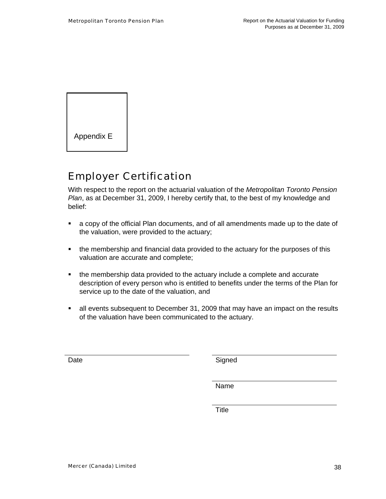

## Employer Certification

With respect to the report on the actuarial valuation of the *Metropolitan Toronto Pension Plan*, as at December 31, 2009, I hereby certify that, to the best of my knowledge and belief:

- a copy of the official Plan documents, and of all amendments made up to the date of the valuation, were provided to the actuary;
- the membership and financial data provided to the actuary for the purposes of this valuation are accurate and complete;
- the membership data provided to the actuary include a complete and accurate description of every person who is entitled to benefits under the terms of the Plan for service up to the date of the valuation, and
- all events subsequent to December 31, 2009 that may have an impact on the results of the valuation have been communicated to the actuary.

Date Signed

name in the contract of the contract of the Name of the State of the State of the State of the State of the St

**Title The Community of Community Community**